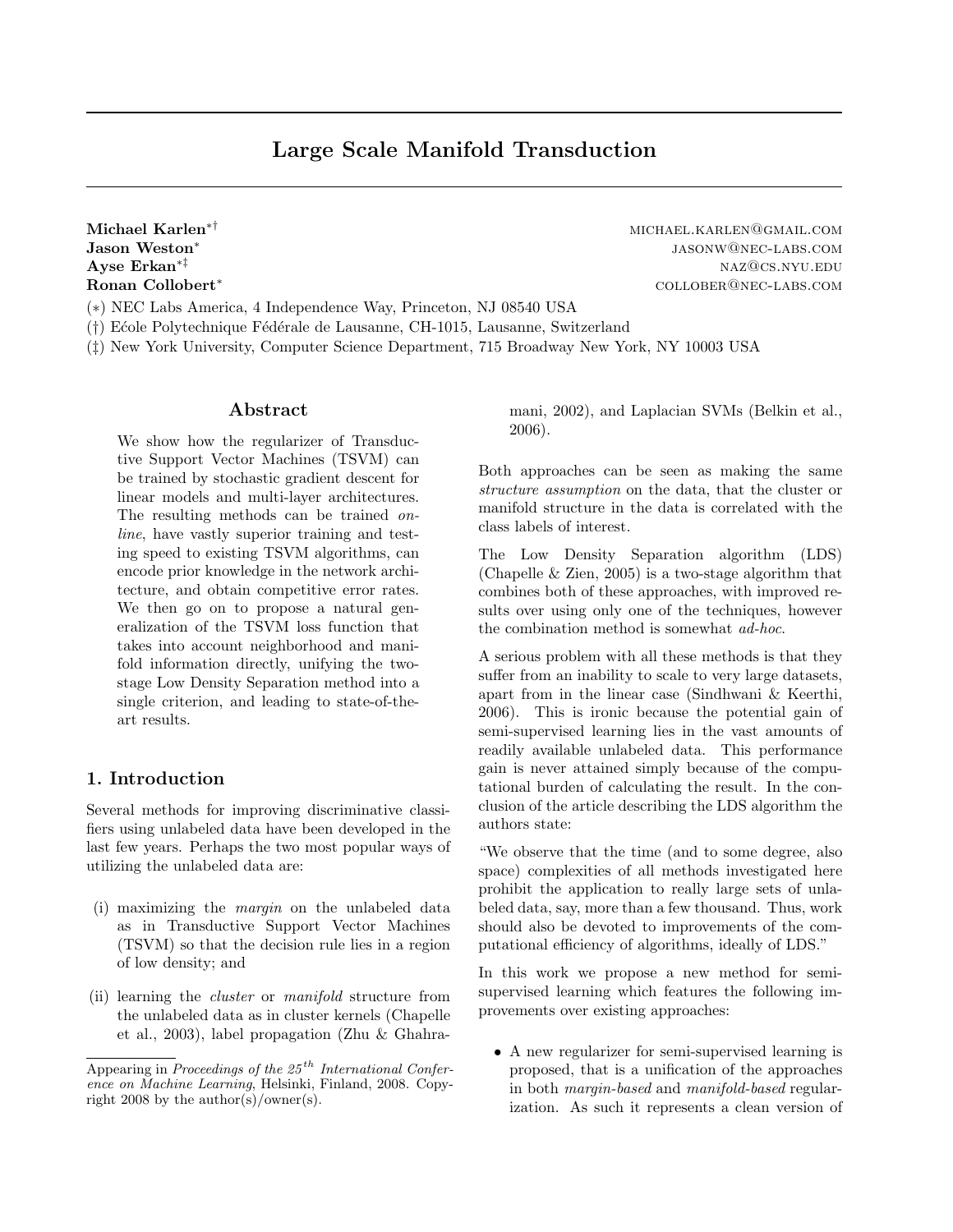Jason Weston<sup>∗</sup>

Michael Karlen<sup>∗†</sup> michael Karlen∗<sup>†</sup> michael.karlen@gmail.com jasonw@nec-labs.com Ayse  $\text{Erkan}^{* \ddagger}$  naz $\text{QCS}$ .nyu.edu Ronan Collobert<sup>∗</sup> collober@nec-labs.com

(∗) NEC Labs America, 4 Independence Way, Princeton, NJ 08540 USA

- (†) E´cole Polytechnique F´ed´erale de Lausanne, CH-1015, Lausanne, Switzerland
- (‡) New York University, Computer Science Department, 715 Broadway New York, NY 10003 USA

## Abstract

We show how the regularizer of Transductive Support Vector Machines (TSVM) can be trained by stochastic gradient descent for linear models and multi-layer architectures. The resulting methods can be trained online, have vastly superior training and testing speed to existing TSVM algorithms, can encode prior knowledge in the network architecture, and obtain competitive error rates. We then go on to propose a natural generalization of the TSVM loss function that takes into account neighborhood and manifold information directly, unifying the twostage Low Density Separation method into a single criterion, and leading to state-of-theart results.

# 1. Introduction

Several methods for improving discriminative classifiers using unlabeled data have been developed in the last few years. Perhaps the two most popular ways of utilizing the unlabeled data are:

- (i) maximizing the margin on the unlabeled data as in Transductive Support Vector Machines (TSVM) so that the decision rule lies in a region of low density; and
- (ii) learning the cluster or manifold structure from the unlabeled data as in cluster kernels (Chapelle et al., 2003), label propagation (Zhu & Ghahra-

mani, 2002), and Laplacian SVMs (Belkin et al., 2006).

Both approaches can be seen as making the same structure assumption on the data, that the cluster or manifold structure in the data is correlated with the class labels of interest.

The Low Density Separation algorithm (LDS) (Chapelle & Zien, 2005) is a two-stage algorithm that combines both of these approaches, with improved results over using only one of the techniques, however the combination method is somewhat ad-hoc.

A serious problem with all these methods is that they suffer from an inability to scale to very large datasets, apart from in the linear case (Sindhwani & Keerthi, 2006). This is ironic because the potential gain of semi-supervised learning lies in the vast amounts of readily available unlabeled data. This performance gain is never attained simply because of the computational burden of calculating the result. In the conclusion of the article describing the LDS algorithm the authors state:

"We observe that the time (and to some degree, also space) complexities of all methods investigated here prohibit the application to really large sets of unlabeled data, say, more than a few thousand. Thus, work should also be devoted to improvements of the computational efficiency of algorithms, ideally of LDS."

In this work we propose a new method for semisupervised learning which features the following improvements over existing approaches:

• A new regularizer for semi-supervised learning is proposed, that is a unification of the approaches in both margin-based and manifold-based regularization. As such it represents a clean version of

Appearing in Proceedings of the  $25<sup>th</sup> International Confer$ ence on Machine Learning, Helsinki, Finland, 2008. Copyright 2008 by the author(s)/owner(s).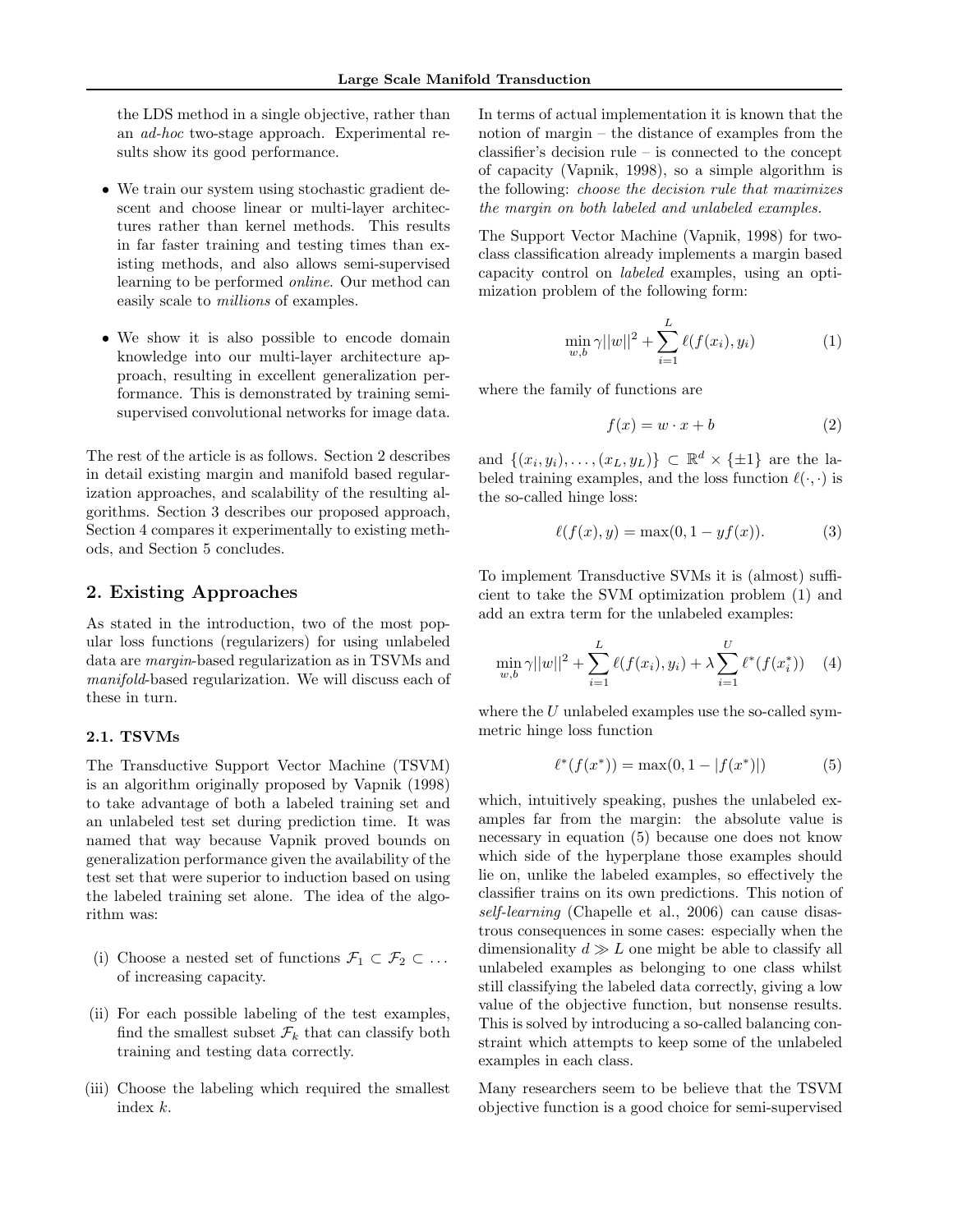the LDS method in a single objective, rather than an ad-hoc two-stage approach. Experimental results show its good performance.

- We train our system using stochastic gradient descent and choose linear or multi-layer architectures rather than kernel methods. This results in far faster training and testing times than existing methods, and also allows semi-supervised learning to be performed online. Our method can easily scale to millions of examples.
- We show it is also possible to encode domain knowledge into our multi-layer architecture approach, resulting in excellent generalization performance. This is demonstrated by training semisupervised convolutional networks for image data.

The rest of the article is as follows. Section 2 describes in detail existing margin and manifold based regularization approaches, and scalability of the resulting algorithms. Section 3 describes our proposed approach, Section 4 compares it experimentally to existing methods, and Section 5 concludes.

## 2. Existing Approaches

As stated in the introduction, two of the most popular loss functions (regularizers) for using unlabeled data are margin-based regularization as in TSVMs and manifold-based regularization. We will discuss each of these in turn.

## 2.1. TSVMs

The Transductive Support Vector Machine (TSVM) is an algorithm originally proposed by Vapnik (1998) to take advantage of both a labeled training set and an unlabeled test set during prediction time. It was named that way because Vapnik proved bounds on generalization performance given the availability of the test set that were superior to induction based on using the labeled training set alone. The idea of the algorithm was:

- (i) Choose a nested set of functions  $\mathcal{F}_1 \subset \mathcal{F}_2 \subset \ldots$ of increasing capacity.
- (ii) For each possible labeling of the test examples, find the smallest subset  $\mathcal{F}_k$  that can classify both training and testing data correctly.
- (iii) Choose the labeling which required the smallest index k.

In terms of actual implementation it is known that the notion of margin – the distance of examples from the classifier's decision rule – is connected to the concept of capacity (Vapnik, 1998), so a simple algorithm is the following: choose the decision rule that maximizes the margin on both labeled and unlabeled examples.

The Support Vector Machine (Vapnik, 1998) for twoclass classification already implements a margin based capacity control on labeled examples, using an optimization problem of the following form:

$$
\min_{w,b} \gamma ||w||^2 + \sum_{i=1}^{L} \ell(f(x_i), y_i)
$$
 (1)

where the family of functions are

$$
f(x) = w \cdot x + b \tag{2}
$$

and  $\{(x_i, y_i), \ldots, (x_L, y_L)\} \subset \mathbb{R}^d \times {\{\pm 1\}}$  are the labeled training examples, and the loss function  $\ell(\cdot, \cdot)$  is the so-called hinge loss:

$$
\ell(f(x), y) = \max(0, 1 - yf(x)).
$$
 (3)

To implement Transductive SVMs it is (almost) sufficient to take the SVM optimization problem (1) and add an extra term for the unlabeled examples:

$$
\min_{w,b} \gamma ||w||^2 + \sum_{i=1}^{L} \ell(f(x_i), y_i) + \lambda \sum_{i=1}^{U} \ell^*(f(x_i^*)) \quad (4)
$$

where the  $U$  unlabeled examples use the so-called symmetric hinge loss function

$$
\ell^*(f(x^*)) = \max(0, 1 - |f(x^*)|)
$$
 (5)

which, intuitively speaking, pushes the unlabeled examples far from the margin: the absolute value is necessary in equation (5) because one does not know which side of the hyperplane those examples should lie on, unlike the labeled examples, so effectively the classifier trains on its own predictions. This notion of self-learning (Chapelle et al., 2006) can cause disastrous consequences in some cases: especially when the dimensionality  $d \gg L$  one might be able to classify all unlabeled examples as belonging to one class whilst still classifying the labeled data correctly, giving a low value of the objective function, but nonsense results. This is solved by introducing a so-called balancing constraint which attempts to keep some of the unlabeled examples in each class.

Many researchers seem to be believe that the TSVM objective function is a good choice for semi-supervised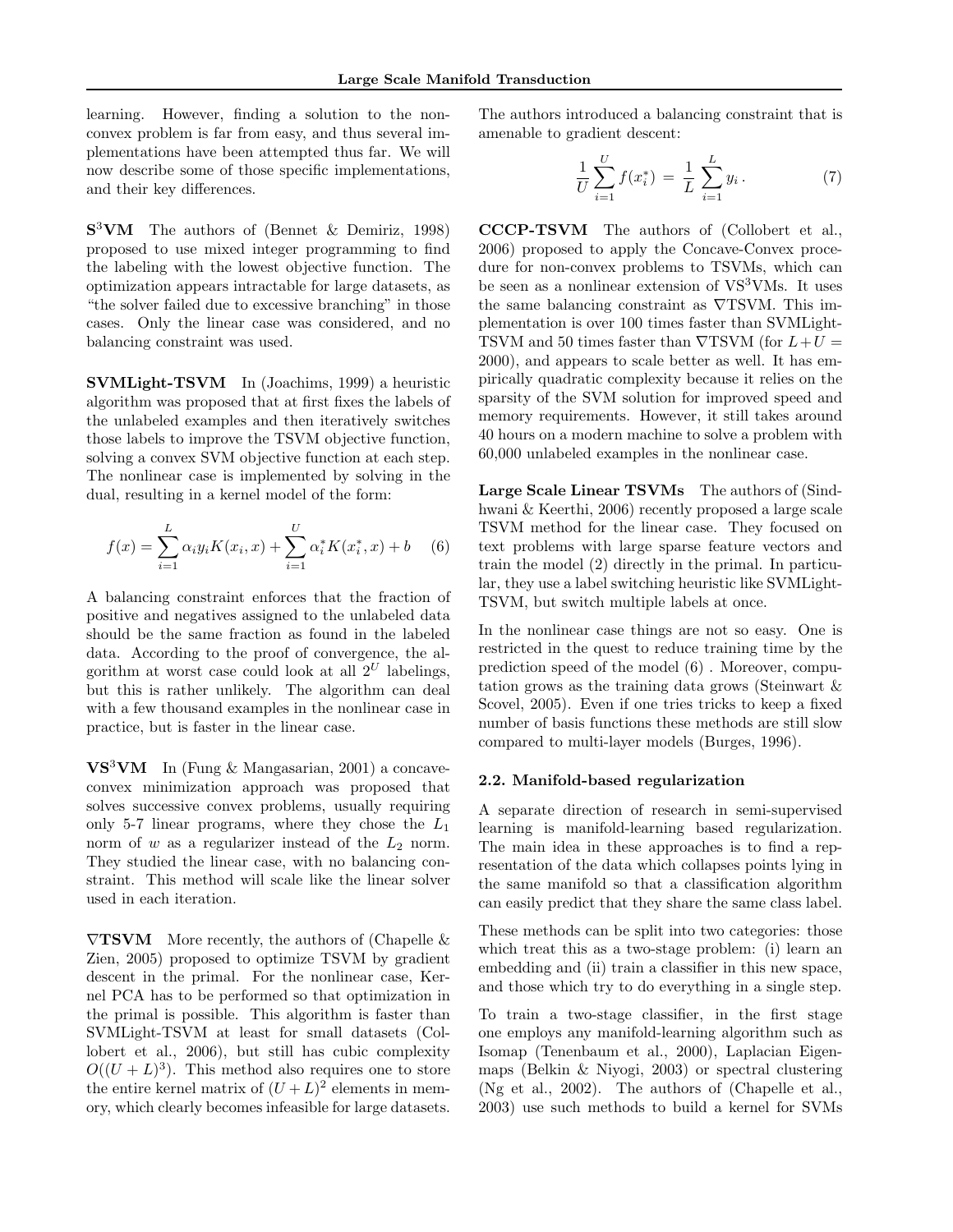learning. However, finding a solution to the nonconvex problem is far from easy, and thus several implementations have been attempted thus far. We will now describe some of those specific implementations, and their key differences.

 $S^3$ VM The authors of (Bennet & Demiriz, 1998) proposed to use mixed integer programming to find the labeling with the lowest objective function. The optimization appears intractable for large datasets, as "the solver failed due to excessive branching" in those cases. Only the linear case was considered, and no balancing constraint was used.

SVMLight-TSVM In (Joachims, 1999) a heuristic algorithm was proposed that at first fixes the labels of the unlabeled examples and then iteratively switches those labels to improve the TSVM objective function, solving a convex SVM objective function at each step. The nonlinear case is implemented by solving in the dual, resulting in a kernel model of the form:

$$
f(x) = \sum_{i=1}^{L} \alpha_i y_i K(x_i, x) + \sum_{i=1}^{U} \alpha_i^* K(x_i^*, x) + b \quad (6)
$$

A balancing constraint enforces that the fraction of positive and negatives assigned to the unlabeled data should be the same fraction as found in the labeled data. According to the proof of convergence, the algorithm at worst case could look at all  $2^U$  labelings, but this is rather unlikely. The algorithm can deal with a few thousand examples in the nonlinear case in practice, but is faster in the linear case.

 $\mathbf{V}\mathbf{S}^3\mathbf{V}\mathbf{M}$  In (Fung & Mangasarian, 2001) a concaveconvex minimization approach was proposed that solves successive convex problems, usually requiring only 5-7 linear programs, where they chose the  $L_1$ norm of  $w$  as a regularizer instead of the  $L_2$  norm. They studied the linear case, with no balancing constraint. This method will scale like the linear solver used in each iteration.

 $\nabla$ **TSVM** More recently, the authors of (Chapelle & Zien, 2005) proposed to optimize TSVM by gradient descent in the primal. For the nonlinear case, Kernel PCA has to be performed so that optimization in the primal is possible. This algorithm is faster than SVMLight-TSVM at least for small datasets (Collobert et al., 2006), but still has cubic complexity  $O((U+L)^3)$ . This method also requires one to store the entire kernel matrix of  $(U+L)^2$  elements in memory, which clearly becomes infeasible for large datasets.

The authors introduced a balancing constraint that is amenable to gradient descent:

$$
\frac{1}{U} \sum_{i=1}^{U} f(x_i^*) = \frac{1}{L} \sum_{i=1}^{L} y_i.
$$
 (7)

CCCP-TSVM The authors of (Collobert et al., 2006) proposed to apply the Concave-Convex procedure for non-convex problems to TSVMs, which can be seen as a nonlinear extension of  $VS<sup>3</sup>VMs$ . It uses the same balancing constraint as ∇TSVM. This implementation is over 100 times faster than SVMLight-TSVM and 50 times faster than  $\nabla$ TSVM (for  $L+U$  = 2000), and appears to scale better as well. It has empirically quadratic complexity because it relies on the sparsity of the SVM solution for improved speed and memory requirements. However, it still takes around 40 hours on a modern machine to solve a problem with 60,000 unlabeled examples in the nonlinear case.

Large Scale Linear TSVMs The authors of (Sindhwani & Keerthi, 2006) recently proposed a large scale TSVM method for the linear case. They focused on text problems with large sparse feature vectors and train the model (2) directly in the primal. In particular, they use a label switching heuristic like SVMLight-TSVM, but switch multiple labels at once.

In the nonlinear case things are not so easy. One is restricted in the quest to reduce training time by the prediction speed of the model (6) . Moreover, computation grows as the training data grows (Steinwart & Scovel, 2005). Even if one tries tricks to keep a fixed number of basis functions these methods are still slow compared to multi-layer models (Burges, 1996).

### 2.2. Manifold-based regularization

A separate direction of research in semi-supervised learning is manifold-learning based regularization. The main idea in these approaches is to find a representation of the data which collapses points lying in the same manifold so that a classification algorithm can easily predict that they share the same class label.

These methods can be split into two categories: those which treat this as a two-stage problem: (i) learn an embedding and (ii) train a classifier in this new space, and those which try to do everything in a single step.

To train a two-stage classifier, in the first stage one employs any manifold-learning algorithm such as Isomap (Tenenbaum et al., 2000), Laplacian Eigenmaps (Belkin & Niyogi, 2003) or spectral clustering (Ng et al., 2002). The authors of (Chapelle et al., 2003) use such methods to build a kernel for SVMs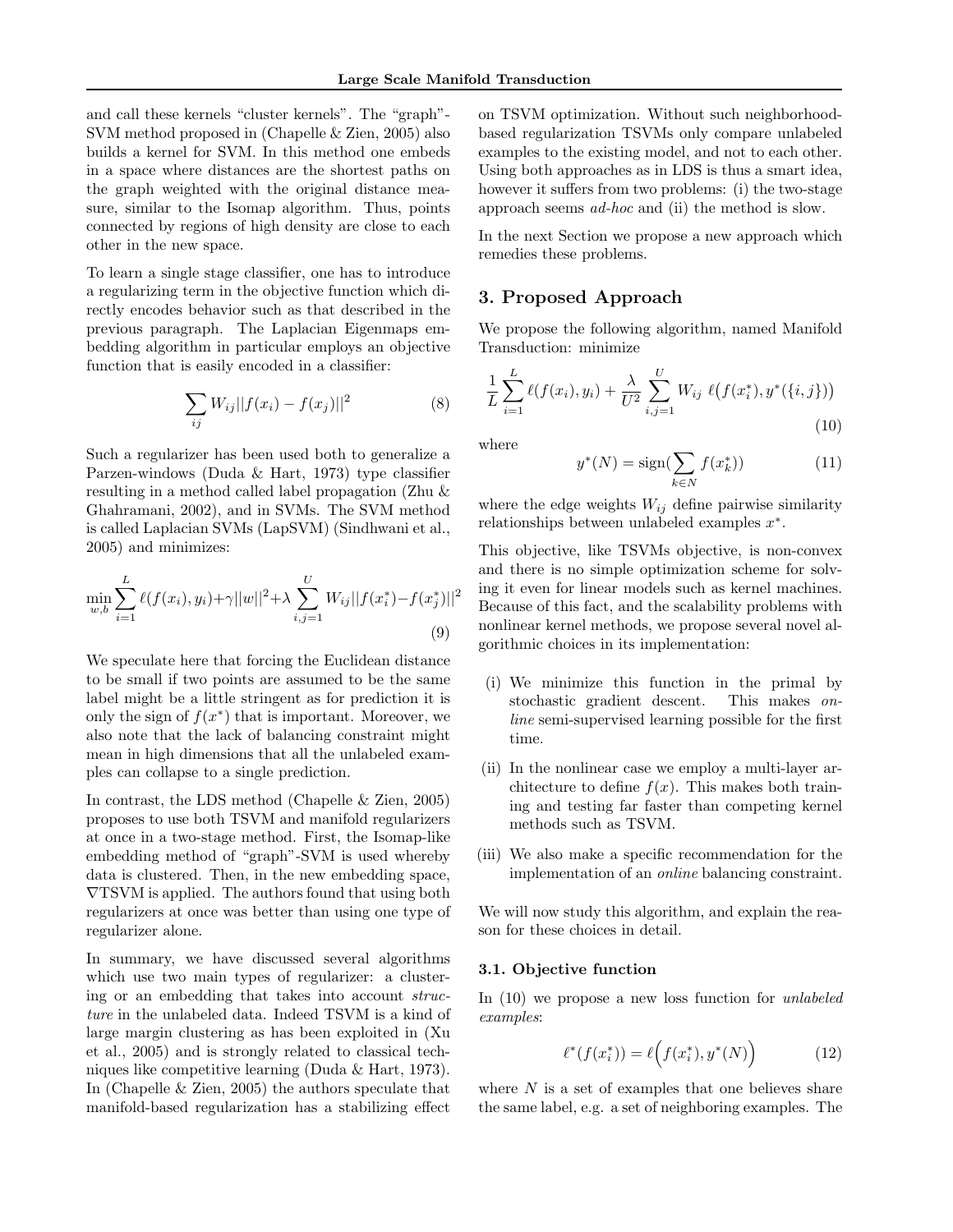and call these kernels "cluster kernels". The "graph"- SVM method proposed in (Chapelle & Zien, 2005) also builds a kernel for SVM. In this method one embeds in a space where distances are the shortest paths on the graph weighted with the original distance measure, similar to the Isomap algorithm. Thus, points connected by regions of high density are close to each other in the new space.

To learn a single stage classifier, one has to introduce a regularizing term in the objective function which directly encodes behavior such as that described in the previous paragraph. The Laplacian Eigenmaps embedding algorithm in particular employs an objective function that is easily encoded in a classifier:

$$
\sum_{ij} W_{ij} ||f(x_i) - f(x_j)||^2
$$
 (8)

Such a regularizer has been used both to generalize a Parzen-windows (Duda & Hart, 1973) type classifier resulting in a method called label propagation (Zhu & Ghahramani, 2002), and in SVMs. The SVM method is called Laplacian SVMs (LapSVM) (Sindhwani et al., 2005) and minimizes:

$$
\min_{w,b} \sum_{i=1}^{L} \ell(f(x_i), y_i) + \gamma ||w||^2 + \lambda \sum_{i,j=1}^{U} W_{ij} ||f(x_i^*) - f(x_j^*)||^2
$$
\n(9)

We speculate here that forcing the Euclidean distance to be small if two points are assumed to be the same label might be a little stringent as for prediction it is only the sign of  $f(x^*)$  that is important. Moreover, we also note that the lack of balancing constraint might mean in high dimensions that all the unlabeled examples can collapse to a single prediction.

In contrast, the LDS method (Chapelle & Zien, 2005) proposes to use both TSVM and manifold regularizers at once in a two-stage method. First, the Isomap-like embedding method of "graph"-SVM is used whereby data is clustered. Then, in the new embedding space, ∇TSVM is applied. The authors found that using both regularizers at once was better than using one type of regularizer alone.

In summary, we have discussed several algorithms which use two main types of regularizer: a clustering or an embedding that takes into account structure in the unlabeled data. Indeed TSVM is a kind of large margin clustering as has been exploited in (Xu et al., 2005) and is strongly related to classical techniques like competitive learning (Duda & Hart, 1973). In (Chapelle & Zien, 2005) the authors speculate that manifold-based regularization has a stabilizing effect

on TSVM optimization. Without such neighborhoodbased regularization TSVMs only compare unlabeled examples to the existing model, and not to each other. Using both approaches as in LDS is thus a smart idea, however it suffers from two problems: (i) the two-stage approach seems ad-hoc and (ii) the method is slow.

In the next Section we propose a new approach which remedies these problems.

## 3. Proposed Approach

We propose the following algorithm, named Manifold Transduction: minimize

$$
\frac{1}{L} \sum_{i=1}^{L} \ell(f(x_i), y_i) + \frac{\lambda}{U^2} \sum_{i,j=1}^{U} W_{ij} \ell(f(x_i^*), y^*(\{i, j\}))
$$
\n(10)

where

$$
y^*(N) = \text{sign}(\sum_{k \in N} f(x_k^*)) \tag{11}
$$

where the edge weights  $W_{ij}$  define pairwise similarity relationships between unlabeled examples x ∗ .

This objective, like TSVMs objective, is non-convex and there is no simple optimization scheme for solving it even for linear models such as kernel machines. Because of this fact, and the scalability problems with nonlinear kernel methods, we propose several novel algorithmic choices in its implementation:

- (i) We minimize this function in the primal by stochastic gradient descent. This makes online semi-supervised learning possible for the first time.
- (ii) In the nonlinear case we employ a multi-layer architecture to define  $f(x)$ . This makes both training and testing far faster than competing kernel methods such as TSVM.
- (iii) We also make a specific recommendation for the implementation of an online balancing constraint.

We will now study this algorithm, and explain the reason for these choices in detail.

### 3.1. Objective function

In (10) we propose a new loss function for unlabeled examples:

$$
\ell^*(f(x_i^*)) = \ell\Big(f(x_i^*), y^*(N)\Big) \tag{12}
$$

where  $N$  is a set of examples that one believes share the same label, e.g. a set of neighboring examples. The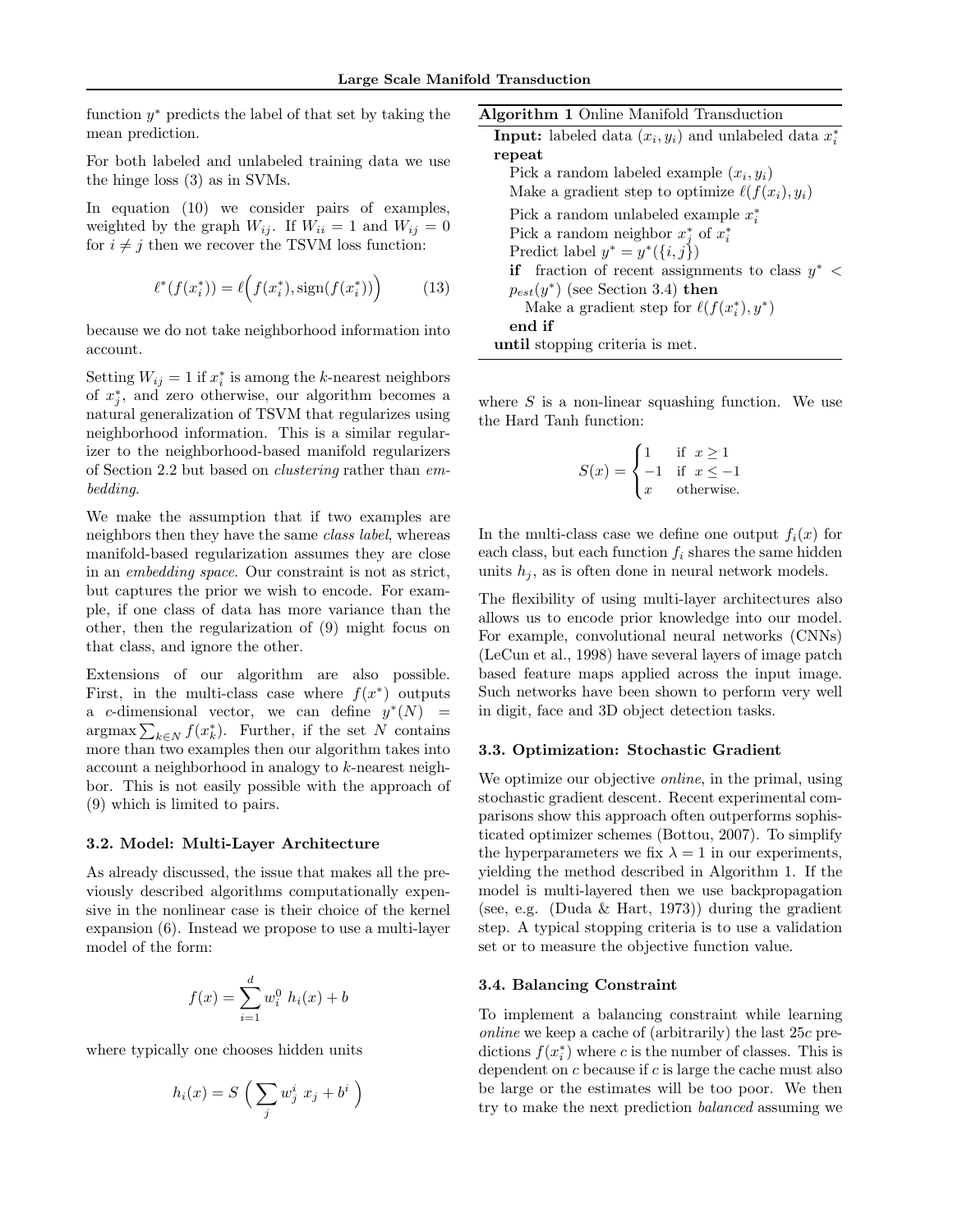function  $y^*$  predicts the label of that set by taking the mean prediction.

For both labeled and unlabeled training data we use the hinge loss (3) as in SVMs.

In equation (10) we consider pairs of examples, weighted by the graph  $W_{ij}$ . If  $W_{ii} = 1$  and  $W_{ij} = 0$ for  $i \neq j$  then we recover the TSVM loss function:

$$
\ell^*(f(x_i^*)) = \ell(f(x_i^*), \text{sign}(f(x_i^*))) \tag{13}
$$

because we do not take neighborhood information into account.

Setting  $W_{ij} = 1$  if  $x_i^*$  is among the k-nearest neighbors of  $x_j^*$ , and zero otherwise, our algorithm becomes a natural generalization of TSVM that regularizes using neighborhood information. This is a similar regularizer to the neighborhood-based manifold regularizers of Section 2.2 but based on clustering rather than embedding.

We make the assumption that if two examples are neighbors then they have the same class label, whereas manifold-based regularization assumes they are close in an embedding space. Our constraint is not as strict, but captures the prior we wish to encode. For example, if one class of data has more variance than the other, then the regularization of (9) might focus on that class, and ignore the other.

Extensions of our algorithm are also possible. First, in the multi-class case where  $f(x^*)$  outputs a c-dimensional vector, we can define  $y^*(N)$  =  $\arg\max \sum_{k \in N} f(x_k^*)$ . Further, if the set N contains more than two examples then our algorithm takes into account a neighborhood in analogy to k-nearest neighbor. This is not easily possible with the approach of (9) which is limited to pairs.

### 3.2. Model: Multi-Layer Architecture

As already discussed, the issue that makes all the previously described algorithms computationally expensive in the nonlinear case is their choice of the kernel expansion (6). Instead we propose to use a multi-layer model of the form:

$$
f(x) = \sum_{i=1}^{d} w_i^0 h_i(x) + b
$$

where typically one chooses hidden units

$$
h_i(x) = S\left(\sum_j w_j^i x_j + b^i\right)
$$

| <b>Algorithm 1</b> Online Manifold Transduction                    |
|--------------------------------------------------------------------|
| <b>Input:</b> labeled data $(x_i, y_i)$ and unlabeled data $x_i^*$ |
| repeat                                                             |
| Pick a random labeled example $(x_i, y_i)$                         |
| Make a gradient step to optimize $\ell(f(x_i), y_i)$               |
| Pick a random unlabeled example $x_i^*$                            |
| Pick a random neighbor $x_i^*$ of $x_i^*$                          |
| Predict label $y^* = y^*(\{i, j\})$                                |
| <b>if</b> fraction of recent assignments to class $y^*$ <          |
| $p_{est}(y^*)$ (see Section 3.4) then                              |
| Make a gradient step for $\ell(f(x_i^*), y^*)$                     |
| end if                                                             |
| until stopping criteria is met.                                    |

where  $S$  is a non-linear squashing function. We use the Hard Tanh function:

$$
S(x) = \begin{cases} 1 & \text{if } x \ge 1 \\ -1 & \text{if } x \le -1 \\ x & \text{otherwise.} \end{cases}
$$

In the multi-class case we define one output  $f_i(x)$  for each class, but each function  $f_i$  shares the same hidden units  $h_i$ , as is often done in neural network models.

The flexibility of using multi-layer architectures also allows us to encode prior knowledge into our model. For example, convolutional neural networks (CNNs) (LeCun et al., 1998) have several layers of image patch based feature maps applied across the input image. Such networks have been shown to perform very well in digit, face and 3D object detection tasks.

#### 3.3. Optimization: Stochastic Gradient

We optimize our objective *online*, in the primal, using stochastic gradient descent. Recent experimental comparisons show this approach often outperforms sophisticated optimizer schemes (Bottou, 2007). To simplify the hyperparameters we fix  $\lambda = 1$  in our experiments, yielding the method described in Algorithm 1. If the model is multi-layered then we use backpropagation (see, e.g. (Duda & Hart, 1973)) during the gradient step. A typical stopping criteria is to use a validation set or to measure the objective function value.

### 3.4. Balancing Constraint

To implement a balancing constraint while learning *online* we keep a cache of (arbitrarily) the last  $25c$  predictions  $f(x_i^*)$  where c is the number of classes. This is dependent on  $c$  because if  $c$  is large the cache must also be large or the estimates will be too poor. We then try to make the next prediction balanced assuming we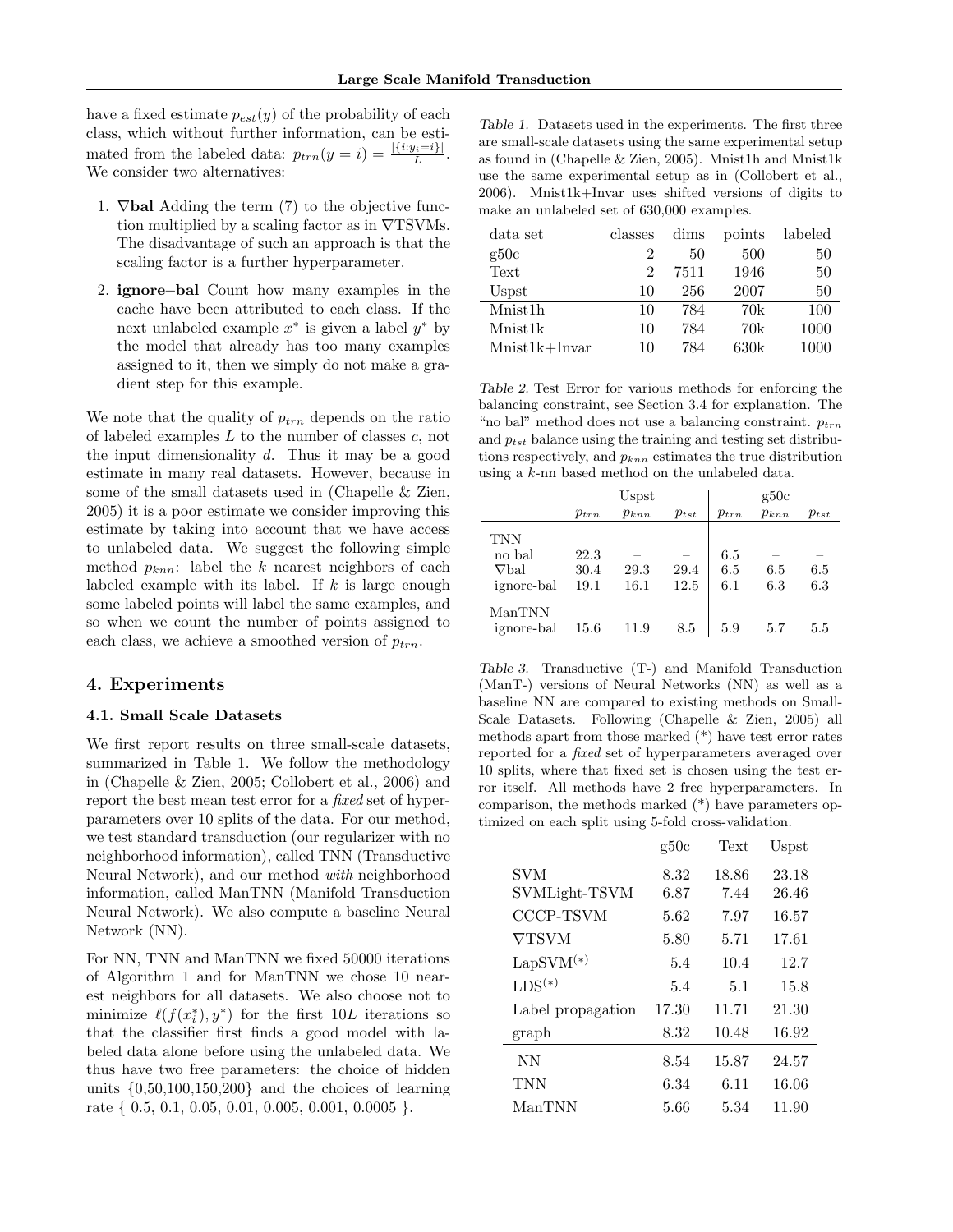have a fixed estimate  $p_{est}(y)$  of the probability of each class, which without further information, can be estimated from the labeled data:  $p_{trn}(y = i) = \frac{|\{i:y_i=i\}|}{L}$ . We consider two alternatives:

- 1.  $\nabla$  bal Adding the term (7) to the objective function multiplied by a scaling factor as in  $\nabla$ TSVMs. The disadvantage of such an approach is that the scaling factor is a further hyperparameter.
- 2. ignore−bal Count how many examples in the cache have been attributed to each class. If the next unlabeled example  $x^*$  is given a label  $y^*$  by the model that already has too many examples assigned to it, then we simply do not make a gradient step for this example.

We note that the quality of  $p_{trn}$  depends on the ratio of labeled examples  $L$  to the number of classes  $c$ , not the input dimensionality  $d$ . Thus it may be a good estimate in many real datasets. However, because in some of the small datasets used in (Chapelle & Zien, 2005) it is a poor estimate we consider improving this estimate by taking into account that we have access to unlabeled data. We suggest the following simple method  $p_{knn}$ : label the k nearest neighbors of each labeled example with its label. If  $k$  is large enough some labeled points will label the same examples, and so when we count the number of points assigned to each class, we achieve a smoothed version of  $p_{trn}$ .

## 4. Experiments

### 4.1. Small Scale Datasets

We first report results on three small-scale datasets, summarized in Table 1. We follow the methodology in (Chapelle & Zien, 2005; Collobert et al., 2006) and report the best mean test error for a *fixed* set of hyperparameters over 10 splits of the data. For our method, we test standard transduction (our regularizer with no neighborhood information), called TNN (Transductive Neural Network), and our method with neighborhood information, called ManTNN (Manifold Transduction Neural Network). We also compute a baseline Neural Network (NN).

For NN, TNN and ManTNN we fixed 50000 iterations of Algorithm 1 and for ManTNN we chose 10 nearest neighbors for all datasets. We also choose not to minimize  $\ell(f(x_i^*), y^*)$  for the first  $10L$  iterations so that the classifier first finds a good model with labeled data alone before using the unlabeled data. We thus have two free parameters: the choice of hidden units  $\{0.50, 100, 150, 200\}$  and the choices of learning rate { 0.5, 0.1, 0.05, 0.01, 0.005, 0.001, 0.0005 }.

Table 1. Datasets used in the experiments. The first three are small-scale datasets using the same experimental setup as found in (Chapelle & Zien, 2005). Mnist1h and Mnist1k use the same experimental setup as in (Collobert et al., 2006). Mnist1k+Invar uses shifted versions of digits to make an unlabeled set of 630,000 examples.

| data set             | classes       | dims | points | labeled |
|----------------------|---------------|------|--------|---------|
| g50c                 | 2             | 50   | 500    | 50      |
| Text                 | $\mathcal{D}$ | 7511 | 1946   | 50      |
| Uspst                | 10            | 256  | 2007   | 50      |
| Mnist <sub>1</sub> h | 10            | 784  | 70k    | 100     |
| Mnist1k              | 10            | 784  | 70k    | 1000    |
| $Mnist1k+Invar$      | 10            | 784  | 630k   | 1000    |

Table 2. Test Error for various methods for enforcing the balancing constraint, see Section 3.4 for explanation. The "no bal" method does not use a balancing constraint.  $p_{trn}$ and  $p_{tst}$  balance using the training and testing set distributions respectively, and  $p_{knn}$  estimates the true distribution using a k-nn based method on the unlabeled data.

|                                                    | Uspst                |              | g50c         |                   |            |            |
|----------------------------------------------------|----------------------|--------------|--------------|-------------------|------------|------------|
|                                                    | $p_{trn}$            | $p_{knn}$    | $p_{tst}$    | $p_{trn}$         | $p_{knn}$  | $p_{tst}$  |
| <b>TNN</b><br>no bal<br>$\nabla$ bal<br>ignore-bal | 22.3<br>30.4<br>19.1 | 29.3<br>16.1 | 29.4<br>12.5 | 6.5<br>6.5<br>6.1 | 6.5<br>6.3 | 6.5<br>6.3 |
| ManTNN<br>ignore-bal                               | 15.6                 | 11.9         | 8.5          | 5.9               | 5.7        | 5.5        |

Table 3. Transductive (T-) and Manifold Transduction (ManT-) versions of Neural Networks (NN) as well as a baseline NN are compared to existing methods on Small-Scale Datasets. Following (Chapelle & Zien, 2005) all methods apart from those marked (\*) have test error rates reported for a fixed set of hyperparameters averaged over 10 splits, where that fixed set is chosen using the test error itself. All methods have 2 free hyperparameters. In comparison, the methods marked (\*) have parameters optimized on each split using 5-fold cross-validation.

|                       | g50c  | Text  | Uspst |
|-----------------------|-------|-------|-------|
| SVM                   | 8.32  | 18.86 | 23.18 |
| SVMLight-TSVM         | 6.87  | 7.44  | 26.46 |
| CCCP-TSVM             | 5.62  | 7.97  | 16.57 |
| VTSVM                 | 5.80  | 5.71  | 17.61 |
| $\text{LapSVM}^{(*)}$ | 5.4   | 10.4  | 12.7  |
| $LDS^{(*)}$           | 5.4   | 5.1   | 15.8  |
| Label propagation     | 17.30 | 11.71 | 21.30 |
| graph                 | 8.32  | 10.48 | 16.92 |
| NN                    | 8.54  | 15.87 | 24.57 |
| TNN                   | 6.34  | 6.11  | 16.06 |
| ManTNN                | 5.66  | 5.34  | 11.90 |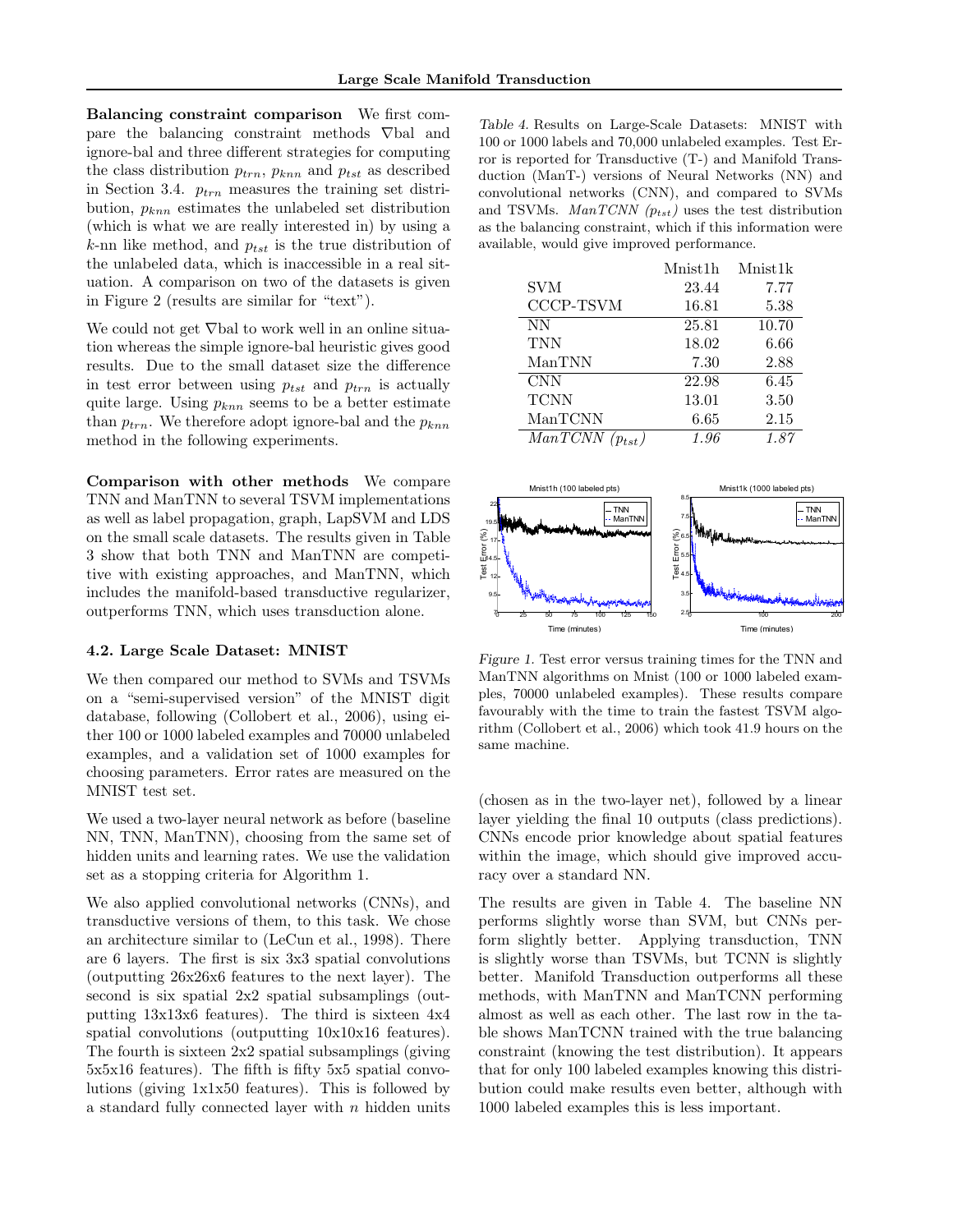Balancing constraint comparison We first compare the balancing constraint methods ∇bal and ignore-bal and three different strategies for computing the class distribution  $p_{trn}$ ,  $p_{knn}$  and  $p_{tst}$  as described in Section 3.4.  $p_{trn}$  measures the training set distribution,  $p_{knn}$  estimates the unlabeled set distribution (which is what we are really interested in) by using a k-nn like method, and  $p_{tst}$  is the true distribution of the unlabeled data, which is inaccessible in a real situation. A comparison on two of the datasets is given in Figure 2 (results are similar for "text").

We could not get ∇bal to work well in an online situation whereas the simple ignore-bal heuristic gives good results. Due to the small dataset size the difference in test error between using  $p_{tst}$  and  $p_{trn}$  is actually quite large. Using  $p_{knn}$  seems to be a better estimate than  $p_{trn}$ . We therefore adopt ignore-bal and the  $p_{knn}$ method in the following experiments.

Comparison with other methods We compare TNN and ManTNN to several TSVM implementations as well as label propagation, graph, LapSVM and LDS on the small scale datasets. The results given in Table 3 show that both TNN and ManTNN are competitive with existing approaches, and ManTNN, which includes the manifold-based transductive regularizer, outperforms TNN, which uses transduction alone.

### 4.2. Large Scale Dataset: MNIST

We then compared our method to SVMs and TSVMs on a "semi-supervised version" of the MNIST digit database, following (Collobert et al., 2006), using either 100 or 1000 labeled examples and 70000 unlabeled examples, and a validation set of 1000 examples for choosing parameters. Error rates are measured on the MNIST test set.

We used a two-layer neural network as before (baseline NN, TNN, ManTNN), choosing from the same set of hidden units and learning rates. We use the validation set as a stopping criteria for Algorithm 1.

We also applied convolutional networks (CNNs), and transductive versions of them, to this task. We chose an architecture similar to (LeCun et al., 1998). There are 6 layers. The first is six 3x3 spatial convolutions (outputting 26x26x6 features to the next layer). The second is six spatial 2x2 spatial subsamplings (outputting 13x13x6 features). The third is sixteen 4x4 spatial convolutions (outputting 10x10x16 features). The fourth is sixteen 2x2 spatial subsamplings (giving 5x5x16 features). The fifth is fifty 5x5 spatial convolutions (giving 1x1x50 features). This is followed by a standard fully connected layer with  $n$  hidden units

Table 4. Results on Large-Scale Datasets: MNIST with 100 or 1000 labels and 70,000 unlabeled examples. Test Error is reported for Transductive (T-) and Manifold Transduction (ManT-) versions of Neural Networks (NN) and convolutional networks (CNN), and compared to SVMs and TSVMs. *ManTCNN*  $(p_{tst})$  uses the test distribution as the balancing constraint, which if this information were available, would give improved performance.

|             | Mnist1h  | Mnist1k |
|-------------|----------|---------|
| <b>SVM</b>  | 23.44    | 7.77    |
| CCCP-TSVM   | 16.81    | 5.38    |
| <b>NN</b>   | 25.81    | 10.70   |
| <b>TNN</b>  | 18.02    | 6.66    |
| ManTNN      | 7.30     | 2.88    |
| <b>CNN</b>  | 22.98    | 6.45    |
| <b>TCNN</b> | 13.01    | 3.50    |
| ManTCNN     | $6.65\,$ | 2.15    |
| ManTCNN     | 1.96     | 1.87    |



Figure 1. Test error versus training times for the TNN and ManTNN algorithms on Mnist (100 or 1000 labeled examples, 70000 unlabeled examples). These results compare favourably with the time to train the fastest TSVM algorithm (Collobert et al., 2006) which took 41.9 hours on the same machine.

(chosen as in the two-layer net), followed by a linear layer yielding the final 10 outputs (class predictions). CNNs encode prior knowledge about spatial features within the image, which should give improved accuracy over a standard NN.

The results are given in Table 4. The baseline NN performs slightly worse than SVM, but CNNs perform slightly better. Applying transduction, TNN is slightly worse than TSVMs, but TCNN is slightly better. Manifold Transduction outperforms all these methods, with ManTNN and ManTCNN performing almost as well as each other. The last row in the table shows ManTCNN trained with the true balancing constraint (knowing the test distribution). It appears that for only 100 labeled examples knowing this distribution could make results even better, although with 1000 labeled examples this is less important.